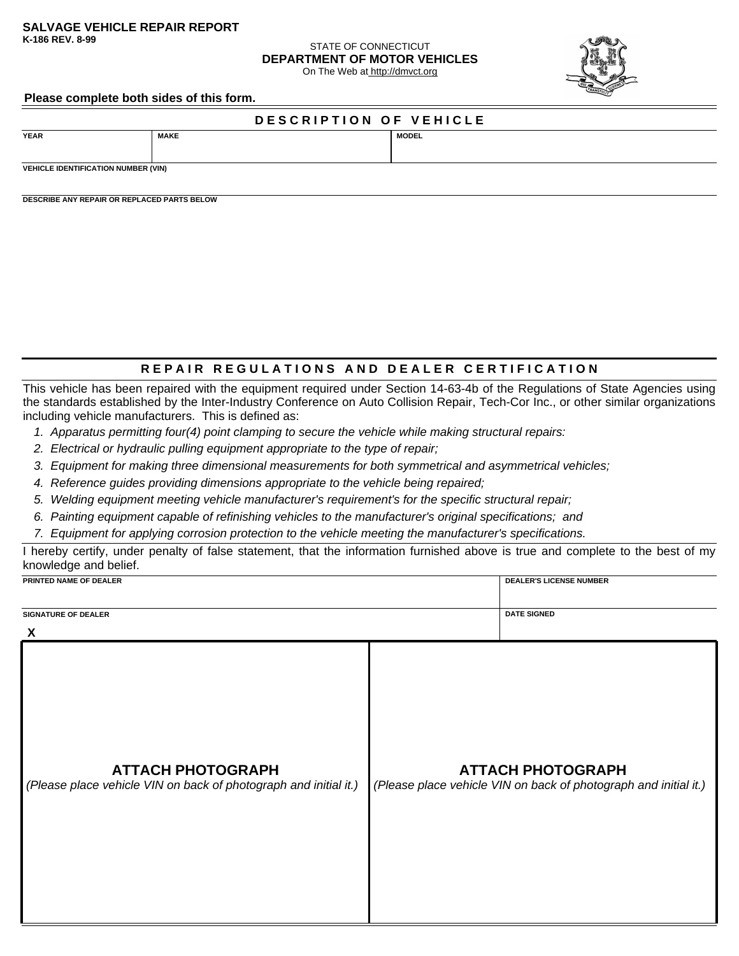# **SALVAGE VEHICLE REPAIR REPORT**

## **STATE OF CONNECTICUT DEPARTMENT OF MOTOR VEHICLES**

On The Web at http://dmvct.org



#### **Please complete both sides of this form.**

## **D E S C R I P T I O N O F V E H I C L E**

**YEAR MAKE MODEL**

**VEHICLE IDENTIFICATION NUMBER (VIN)**

**DESCRIBE ANY REPAIR OR REPLACED PARTS BELOW**

### **REPAIR REGULATIONS AND DEALER CERTIFICATION**

This vehicle has been repaired with the equipment required under Section 14-63-4b of the Regulations of State Agencies using the standards established by the Inter-Industry Conference on Auto Collision Repair, Tech-Cor Inc., or other similar organizations including vehicle manufacturers. This is defined as:

- *1. Apparatus permitting four(4) point clamping to secure the vehicle while making structural repairs:*
- *2. Electrical or hydraulic pulling equipment appropriate to the type of repair;*
- *3. Equipment for making three dimensional measurements for both symmetrical and asymmetrical vehicles;*
- *4. Reference guides providing dimensions appropriate to the vehicle being repaired;*
- *5. Welding equipment meeting vehicle manufacturer's requirement's for the specific structural repair;*
- *6. Painting equipment capable of refinishing vehicles to the manufacturer's original specifications; and*
- *7. Equipment for applying corrosion protection to the vehicle meeting the manufacturer's specifications.*

I hereby certify, under penalty of false statement, that the information furnished above is true and complete to the best of my knowledge and belief.

| PRINTED NAME OF DEALER                                                                       |  | <b>DEALER'S LICENSE NUMBER</b>                                                               |
|----------------------------------------------------------------------------------------------|--|----------------------------------------------------------------------------------------------|
| <b>SIGNATURE OF DEALER</b><br>X                                                              |  | <b>DATE SIGNED</b>                                                                           |
| <b>ATTACH PHOTOGRAPH</b><br>(Please place vehicle VIN on back of photograph and initial it.) |  | <b>ATTACH PHOTOGRAPH</b><br>(Please place vehicle VIN on back of photograph and initial it.) |